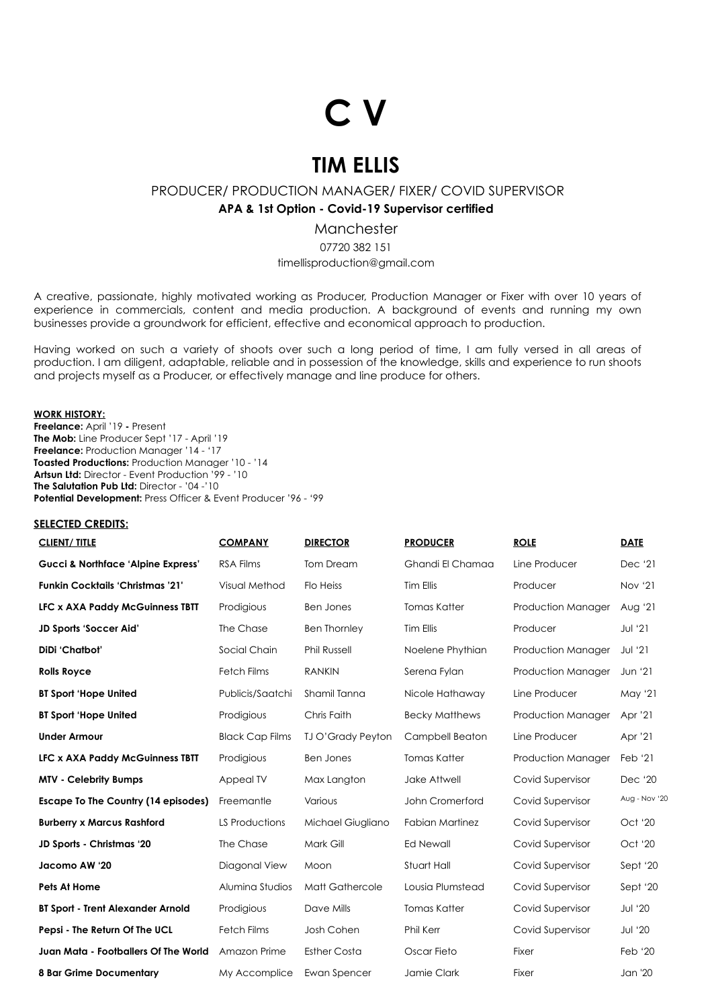# **C V**

# **TIM ELLIS**

PRODUCER/ PRODUCTION MANAGER/ FIXER/ COVID SUPERVISOR

**APA & 1st Option - Covid-19 Supervisor certified**

Manchester 07720 382 151

timellisproduction@gmail.com

A creative, passionate, highly motivated working as Producer, Production Manager or Fixer with over 10 years of experience in commercials, content and media production. A background of events and running my own businesses provide a groundwork for efficient, effective and economical approach to production.

Having worked on such a variety of shoots over such a long period of time, I am fully versed in all areas of production. I am diligent, adaptable, reliable and in possession of the knowledge, skills and experience to run shoots and projects myself as a Producer, or effectively manage and line produce for others.

#### **WORK HISTORY:**

**Freelance:** April '19 **-** Present **The Mob:** Line Producer Sept '17 - April '19 **Freelance:** Production Manager '14 - '17 **Toasted Productions:** Production Manager '10 - '14 **Artsun Ltd:** Director - Event Production '99 - '10 **The Salutation Pub Ltd:** Director - '04 -'10 **Potential Development:** Press Officer & Event Producer '96 - '99

#### **SELECTED CREDITS:**

| <b>CLIENT/TITLE</b>                           | <b>COMPANY</b>         | <b>DIRECTOR</b>          | <b>PRODUCER</b>        | <b>ROLE</b>               | <b>DATE</b>    |
|-----------------------------------------------|------------------------|--------------------------|------------------------|---------------------------|----------------|
| <b>Gucci &amp; Northface 'Alpine Express'</b> | <b>RSA Films</b>       | <b>Tom Dream</b>         | Ghandi El Chamaa       | Line Producer             | Dec '21        |
| <b>Funkin Cocktails 'Christmas '21'</b>       | Visual Method          | Flo Heiss                | Tim Ellis              | Producer                  | Nov '21        |
| <b>LFC x AXA Paddy McGuinness TBTT</b>        | Prodigious             | <b>Ben Jones</b>         | <b>Tomas Katter</b>    | Production Manager        | Aug '21        |
| JD Sports 'Soccer Aid'                        | The Chase              | <b>Ben Thornley</b>      | Tim Ellis              | Producer                  | <b>Jul</b> '21 |
| DiDi 'Chatbot'                                | Social Chain           | <b>Phil Russell</b>      | Noelene Phythian       | Production Manager        | <b>Jul</b> '21 |
| <b>Rolls Royce</b>                            | <b>Fetch Films</b>     | <b>RANKIN</b>            | Serena Fylan           | <b>Production Manager</b> | Jun '21        |
| <b>BT Sport 'Hope United</b>                  | Publicis/Saatchi       | Shamil Tanna             | Nicole Hathaway        | Line Producer             | May '21        |
| <b>BT Sport 'Hope United</b>                  | Prodigious             | Chris Faith              | <b>Becky Matthews</b>  | <b>Production Manager</b> | Apr '21        |
| <b>Under Armour</b>                           | <b>Black Cap Films</b> | <b>TJ O'Grady Peyton</b> | Campbell Beaton        | Line Producer             | Apr '21        |
| <b>LFC x AXA Paddy McGuinness TBTT</b>        | Prodigious             | <b>Ben Jones</b>         | <b>Tomas Katter</b>    | <b>Production Manager</b> | Feb '21        |
| <b>MTV - Celebrity Bumps</b>                  | Appeal TV              | Max Langton              | Jake Attwell           | Covid Supervisor          | Dec '20        |
| Escape To The Country (14 episodes)           | Freemantle             | Various                  | John Cromerford        | Covid Supervisor          | Aug - Nov '20  |
| <b>Burberry x Marcus Rashford</b>             | LS Productions         | Michael Giugliano        | <b>Fabian Martinez</b> | Covid Supervisor          | Oct '20        |
| JD Sports - Christmas '20                     | The Chase              | Mark Gill                | <b>Ed Newall</b>       | Covid Supervisor          | Oct '20        |
| Jacomo AW '20                                 | Diagonal View          | Moon                     | Stuart Hall            | Covid Supervisor          | Sept '20       |
| Pets At Home                                  | Alumina Studios        | Matt Gathercole          | Lousia Plumstead       | Covid Supervisor          | Sept '20       |
| <b>BT Sport - Trent Alexander Arnold</b>      | Prodigious             | Dave Mills               | <b>Tomas Katter</b>    | Covid Supervisor          | <b>Jul</b> '20 |
| Pepsi - The Return Of The UCL                 | <b>Fetch Films</b>     | Josh Cohen               | Phil Kerr              | Covid Supervisor          | <b>Jul '20</b> |
| Juan Mata - Footballers Of The World          | Amazon Prime           | <b>Esther Costa</b>      | Oscar Fieto            | Fixer                     | Feb '20        |
| <b>8 Bar Grime Documentary</b>                | My Accomplice          | Ewan Spencer             | Jamie Clark            | Fixer                     | Jan '20        |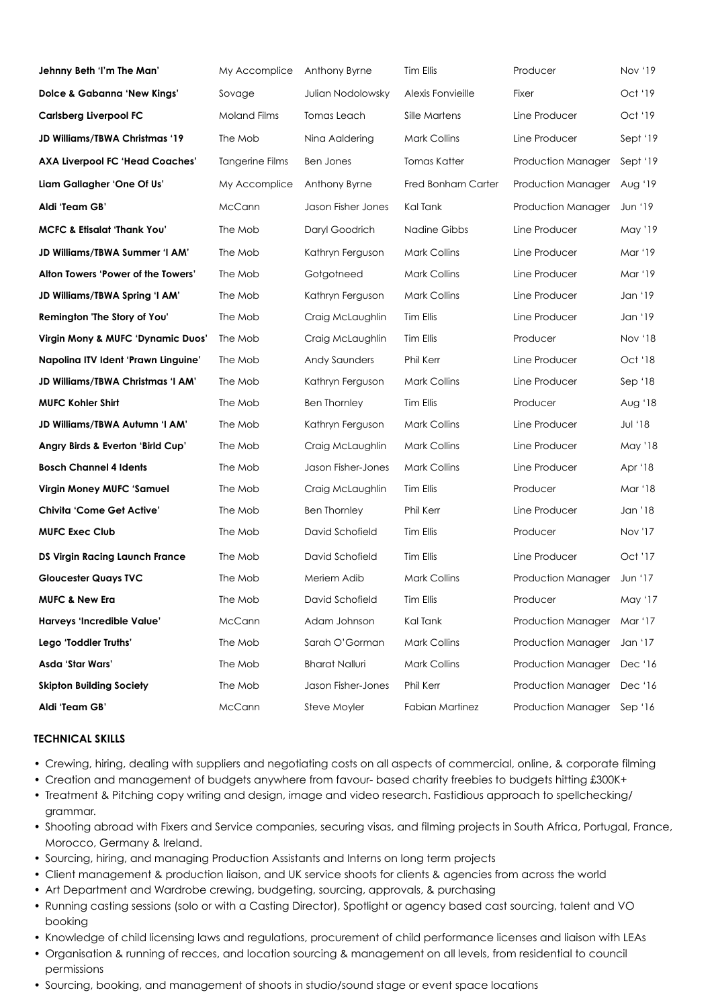| Jehnny Beth 'I'm The Man'              | My Accomplice          | Anthony Byrne         | Tim Ellis              | Producer           | Nov '19        |
|----------------------------------------|------------------------|-----------------------|------------------------|--------------------|----------------|
| <b>Dolce &amp; Gabanna 'New Kings'</b> | Sovage                 | Julian Nodolowsky     | Alexis Fonvieille      | Fixer              | Oct '19        |
| <b>Carlsberg Liverpool FC</b>          | <b>Moland Films</b>    | Tomas Leach           | Sille Martens          | Line Producer      | Oct '19        |
| JD Williams/TBWA Christmas '19         | The Mob                | Nina Aaldering        | <b>Mark Collins</b>    | Line Producer      | Sept '19       |
| <b>AXA Liverpool FC 'Head Coaches'</b> | <b>Tangerine Films</b> | <b>Ben Jones</b>      | Tomas Katter           | Production Manager | Sept '19       |
| Liam Gallagher 'One Of Us'             | My Accomplice          | Anthony Byrne         | Fred Bonham Carter     | Production Manager | Aug '19        |
| Aldi 'Team GB'                         | McCann                 | Jason Fisher Jones    | Kal Tank               | Production Manager | Jun '19        |
| <b>MCFC &amp; Etisalat 'Thank You'</b> | The Mob                | Daryl Goodrich        | Nadine Gibbs           | Line Producer      | May '19        |
| JD Williams/TBWA Summer 'I AM'         | The Mob                | Kathryn Ferguson      | <b>Mark Collins</b>    | Line Producer      | Mar '19        |
| Alton Towers 'Power of the Towers'     | The Mob                | Gotgotneed            | <b>Mark Collins</b>    | Line Producer      | Mar '19        |
| JD Williams/TBWA Spring 'I AM'         | The Mob                | Kathryn Ferguson      | <b>Mark Collins</b>    | Line Producer      | Jan '19        |
| Remington 'The Story of You'           | The Mob                | Craig McLaughlin      | Tim Ellis              | Line Producer      | Jan '19        |
| Virgin Mony & MUFC 'Dynamic Duos'      | The Mob                | Craig McLaughlin      | Tim Ellis              | Producer           | Nov '18        |
| Napolina ITV Ident 'Prawn Linguine'    | The Mob                | <b>Andy Saunders</b>  | Phil Kerr              | Line Producer      | Oct '18        |
| JD Williams/TBWA Christmas 'I AM'      | The Mob                | Kathryn Ferguson      | <b>Mark Collins</b>    | Line Producer      | Sep '18        |
| <b>MUFC Kohler Shirt</b>               | The Mob                | <b>Ben Thornley</b>   | Tim Ellis              | Producer           | Aug '18        |
| JD Williams/TBWA Autumn 'I AM'         | The Mob                | Kathryn Ferguson      | <b>Mark Collins</b>    | Line Producer      | Jul '18        |
| Angry Birds & Everton 'Birld Cup'      | The Mob                | Craig McLaughlin      | <b>Mark Collins</b>    | Line Producer      | May '18        |
| <b>Bosch Channel 4 Idents</b>          | The Mob                | Jason Fisher-Jones    | <b>Mark Collins</b>    | Line Producer      | Apr '18        |
| <b>Virgin Money MUFC 'Samuel</b>       | The Mob                | Craig McLaughlin      | Tim Ellis              | Producer           | Mar '18        |
| <b>Chivita 'Come Get Active'</b>       | The Mob                | <b>Ben Thornley</b>   | Phil Kerr              | Line Producer      | Jan '18        |
| <b>MUFC Exec Club</b>                  | The Mob                | David Schofield       | Tim Ellis              | Producer           | <b>Nov '17</b> |
| <b>DS Virgin Racing Launch France</b>  | The Mob                | David Schofield       | Tim Ellis              | Line Producer      | Oct '17        |
| <b>Gloucester Quays TVC</b>            | The Mob                | Meriem Adib           | <b>Mark Collins</b>    | Production Manager | Jun '17        |
| <b>MUFC &amp; New Era</b>              | The Mob                | David Schofield       | Tim Ellis              | Producer           | May '17        |
| Harveys 'Incredible Value'             | McCann                 | Adam Johnson          | Kal Tank               | Production Manager | Mar '17        |
| Lego 'Toddler Truths'                  | The Mob                | Sarah O'Gorman        | <b>Mark Collins</b>    | Production Manager | Jan '17        |
| Asda 'Star Wars'                       | The Mob                | <b>Bharat Nalluri</b> | <b>Mark Collins</b>    | Production Manager | Dec '16        |
| <b>Skipton Building Society</b>        | The Mob                | Jason Fisher-Jones    | Phil Kerr              | Production Manager | Dec '16        |
| Aldi 'Team GB'                         | McCann                 | Steve Moyler          | <b>Fabian Martinez</b> | Production Manager | Sep $'16$      |

#### **TECHNICAL SKILLS**

- Crewing, hiring, dealing with suppliers and negotiating costs on all aspects of commercial, online, & corporate filming
- Creation and management of budgets anywhere from favour- based charity freebies to budgets hitting £300K+
- Treatment & Pitching copy writing and design, image and video research. Fastidious approach to spellchecking/ grammar.
- Shooting abroad with Fixers and Service companies, securing visas, and filming projects in South Africa, Portugal, France, Morocco, Germany & Ireland.
- Sourcing, hiring, and managing Production Assistants and Interns on long term projects
- Client management & production liaison, and UK service shoots for clients & agencies from across the world
- Art Department and Wardrobe crewing, budgeting, sourcing, approvals, & purchasing
- Running casting sessions (solo or with a Casting Director), Spotlight or agency based cast sourcing, talent and VO booking
- Knowledge of child licensing laws and regulations, procurement of child performance licenses and liaison with LEAs
- Organisation & running of recces, and location sourcing & management on all levels, from residential to council permissions
- Sourcing, booking, and management of shoots in studio/sound stage or event space locations